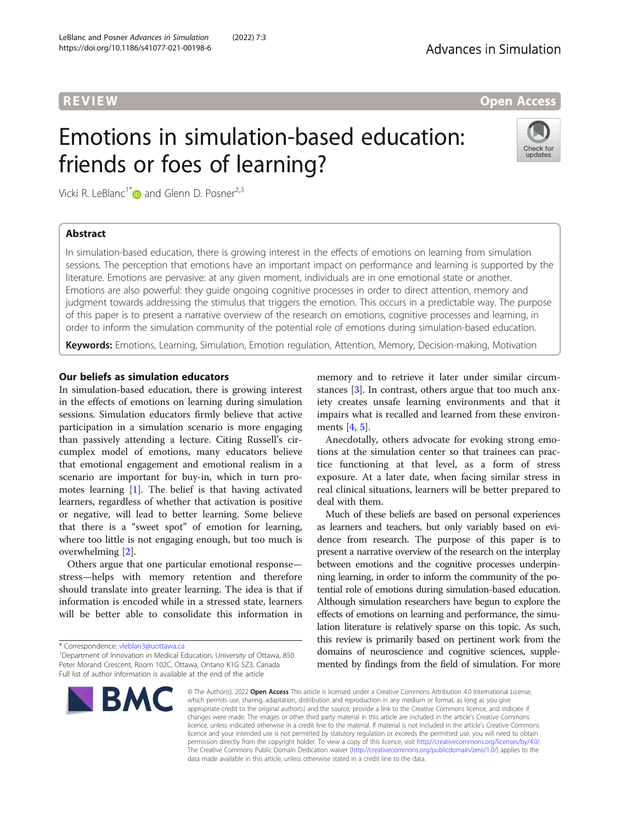# **REVIEW CONSULTANT CONTROL**

# Emotions in simulation-based education: friends or foes of learning?



Vicki R. LeBlanc<sup>1[\\*](http://orcid.org/0000-0001-5407-6420)</sup> and Glenn D. Posner<sup>2,3</sup>

# Abstract

In simulation-based education, there is growing interest in the effects of emotions on learning from simulation sessions. The perception that emotions have an important impact on performance and learning is supported by the literature. Emotions are pervasive: at any given moment, individuals are in one emotional state or another. Emotions are also powerful: they guide ongoing cognitive processes in order to direct attention, memory and judgment towards addressing the stimulus that triggers the emotion. This occurs in a predictable way. The purpose of this paper is to present a narrative overview of the research on emotions, cognitive processes and learning, in order to inform the simulation community of the potential role of emotions during simulation-based education.

Keywords: Emotions, Learning, Simulation, Emotion regulation, Attention, Memory, Decision-making, Motivation

# Our beliefs as simulation educators

In simulation-based education, there is growing interest in the effects of emotions on learning during simulation sessions. Simulation educators firmly believe that active participation in a simulation scenario is more engaging than passively attending a lecture. Citing Russell's circumplex model of emotions, many educators believe that emotional engagement and emotional realism in a scenario are important for buy-in, which in turn promotes learning [\[1](#page-6-0)]. The belief is that having activated learners, regardless of whether that activation is positive or negative, will lead to better learning. Some believe that there is a "sweet spot" of emotion for learning, where too little is not engaging enough, but too much is overwhelming [\[2](#page-6-0)].

Others argue that one particular emotional response stress—helps with memory retention and therefore should translate into greater learning. The idea is that if information is encoded while in a stressed state, learners will be better able to consolidate this information in

\* Correspondence: [vleblan3@uottawa.ca](mailto:vleblan3@uottawa.ca) <sup>1</sup>

<sup>1</sup>Department of Innovation in Medical Education, University of Ottawa, 850 Peter Morand Crescent, Room 102C, Ottawa, Ontario K1G 5Z3, Canada Full list of author information is available at the end of the article



memory and to retrieve it later under similar circumstances [\[3](#page-6-0)]. In contrast, others argue that too much anxiety creates unsafe learning environments and that it impairs what is recalled and learned from these environments [[4,](#page-6-0) [5\]](#page-6-0).

Anecdotally, others advocate for evoking strong emotions at the simulation center so that trainees can practice functioning at that level, as a form of stress exposure. At a later date, when facing similar stress in real clinical situations, learners will be better prepared to deal with them.

Much of these beliefs are based on personal experiences as learners and teachers, but only variably based on evidence from research. The purpose of this paper is to present a narrative overview of the research on the interplay between emotions and the cognitive processes underpinning learning, in order to inform the community of the potential role of emotions during simulation-based education. Although simulation researchers have begun to explore the effects of emotions on learning and performance, the simulation literature is relatively sparse on this topic. As such, this review is primarily based on pertinent work from the domains of neuroscience and cognitive sciences, supplemented by findings from the field of simulation. For more

© The Author(s), 2022 **Open Access** This article is licensed under a Creative Commons Attribution 4.0 International License, which permits use, sharing, adaptation, distribution and reproduction in any medium or format, as long as you give appropriate credit to the original author(s) and the source, provide a link to the Creative Commons licence, and indicate if changes were made. The images or other third party material in this article are included in the article's Creative Commons licence, unless indicated otherwise in a credit line to the material. If material is not included in the article's Creative Commons licence and your intended use is not permitted by statutory regulation or exceeds the permitted use, you will need to obtain permission directly from the copyright holder. To view a copy of this licence, visit [http://creativecommons.org/licenses/by/4.0/.](http://creativecommons.org/licenses/by/4.0/) The Creative Commons Public Domain Dedication waiver [\(http://creativecommons.org/publicdomain/zero/1.0/](http://creativecommons.org/publicdomain/zero/1.0/)) applies to the data made available in this article, unless otherwise stated in a credit line to the data.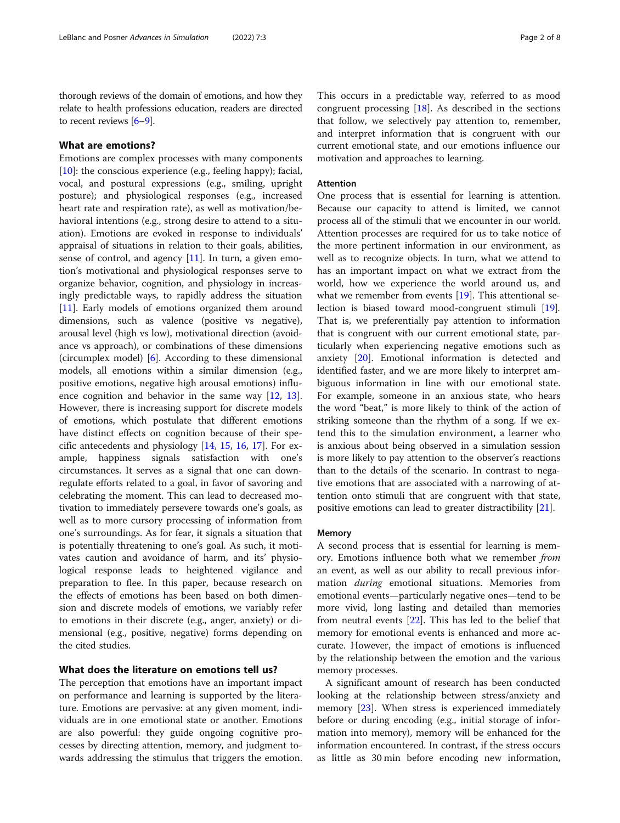thorough reviews of the domain of emotions, and how they relate to health professions education, readers are directed to recent reviews [[6](#page-6-0)–[9\]](#page-6-0).

### What are emotions?

Emotions are complex processes with many components  $[10]$  $[10]$ : the conscious experience (e.g., feeling happy); facial, vocal, and postural expressions (e.g., smiling, upright posture); and physiological responses (e.g., increased heart rate and respiration rate), as well as motivation/behavioral intentions (e.g., strong desire to attend to a situation). Emotions are evoked in response to individuals' appraisal of situations in relation to their goals, abilities, sense of control, and agency [[11\]](#page-6-0). In turn, a given emotion's motivational and physiological responses serve to organize behavior, cognition, and physiology in increasingly predictable ways, to rapidly address the situation [[11\]](#page-6-0). Early models of emotions organized them around dimensions, such as valence (positive vs negative), arousal level (high vs low), motivational direction (avoidance vs approach), or combinations of these dimensions (circumplex model) [\[6](#page-6-0)]. According to these dimensional models, all emotions within a similar dimension (e.g., positive emotions, negative high arousal emotions) influence cognition and behavior in the same way [\[12,](#page-6-0) [13](#page-6-0)]. However, there is increasing support for discrete models of emotions, which postulate that different emotions have distinct effects on cognition because of their specific antecedents and physiology [\[14](#page-6-0), [15](#page-6-0), [16,](#page-6-0) [17\]](#page-6-0). For example, happiness signals satisfaction with one's circumstances. It serves as a signal that one can downregulate efforts related to a goal, in favor of savoring and celebrating the moment. This can lead to decreased motivation to immediately persevere towards one's goals, as well as to more cursory processing of information from one's surroundings. As for fear, it signals a situation that is potentially threatening to one's goal. As such, it motivates caution and avoidance of harm, and its' physiological response leads to heightened vigilance and preparation to flee. In this paper, because research on the effects of emotions has been based on both dimension and discrete models of emotions, we variably refer to emotions in their discrete (e.g., anger, anxiety) or dimensional (e.g., positive, negative) forms depending on the cited studies.

## What does the literature on emotions tell us?

The perception that emotions have an important impact on performance and learning is supported by the literature. Emotions are pervasive: at any given moment, individuals are in one emotional state or another. Emotions are also powerful: they guide ongoing cognitive processes by directing attention, memory, and judgment towards addressing the stimulus that triggers the emotion.

This occurs in a predictable way, referred to as mood congruent processing [[18](#page-6-0)]. As described in the sections that follow, we selectively pay attention to, remember, and interpret information that is congruent with our current emotional state, and our emotions influence our motivation and approaches to learning.

#### Attention

One process that is essential for learning is attention. Because our capacity to attend is limited, we cannot process all of the stimuli that we encounter in our world. Attention processes are required for us to take notice of the more pertinent information in our environment, as well as to recognize objects. In turn, what we attend to has an important impact on what we extract from the world, how we experience the world around us, and what we remember from events [[19\]](#page-6-0). This attentional selection is biased toward mood-congruent stimuli [\[19](#page-6-0)]. That is, we preferentially pay attention to information that is congruent with our current emotional state, particularly when experiencing negative emotions such as anxiety [[20\]](#page-6-0). Emotional information is detected and identified faster, and we are more likely to interpret ambiguous information in line with our emotional state. For example, someone in an anxious state, who hears the word "beat," is more likely to think of the action of striking someone than the rhythm of a song. If we extend this to the simulation environment, a learner who is anxious about being observed in a simulation session is more likely to pay attention to the observer's reactions than to the details of the scenario. In contrast to negative emotions that are associated with a narrowing of attention onto stimuli that are congruent with that state, positive emotions can lead to greater distractibility [\[21](#page-6-0)].

#### Memory

A second process that is essential for learning is memory. Emotions influence both what we remember from an event, as well as our ability to recall previous information during emotional situations. Memories from emotional events—particularly negative ones—tend to be more vivid, long lasting and detailed than memories from neutral events [[22\]](#page-6-0). This has led to the belief that memory for emotional events is enhanced and more accurate. However, the impact of emotions is influenced by the relationship between the emotion and the various memory processes.

A significant amount of research has been conducted looking at the relationship between stress/anxiety and memory [[23](#page-6-0)]. When stress is experienced immediately before or during encoding (e.g., initial storage of information into memory), memory will be enhanced for the information encountered. In contrast, if the stress occurs as little as 30 min before encoding new information,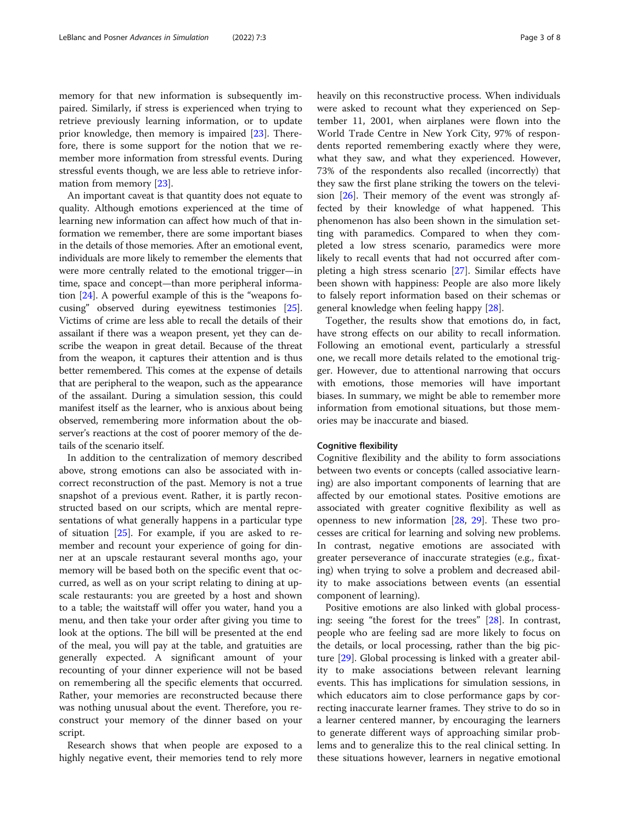memory for that new information is subsequently impaired. Similarly, if stress is experienced when trying to retrieve previously learning information, or to update prior knowledge, then memory is impaired [[23](#page-6-0)]. Therefore, there is some support for the notion that we remember more information from stressful events. During stressful events though, we are less able to retrieve information from memory [\[23](#page-6-0)].

An important caveat is that quantity does not equate to quality. Although emotions experienced at the time of learning new information can affect how much of that information we remember, there are some important biases in the details of those memories. After an emotional event, individuals are more likely to remember the elements that were more centrally related to the emotional trigger—in time, space and concept—than more peripheral information [\[24\]](#page-6-0). A powerful example of this is the "weapons focusing" observed during eyewitness testimonies [[25](#page-6-0)]. Victims of crime are less able to recall the details of their assailant if there was a weapon present, yet they can describe the weapon in great detail. Because of the threat from the weapon, it captures their attention and is thus better remembered. This comes at the expense of details that are peripheral to the weapon, such as the appearance of the assailant. During a simulation session, this could manifest itself as the learner, who is anxious about being observed, remembering more information about the observer's reactions at the cost of poorer memory of the details of the scenario itself.

In addition to the centralization of memory described above, strong emotions can also be associated with incorrect reconstruction of the past. Memory is not a true snapshot of a previous event. Rather, it is partly reconstructed based on our scripts, which are mental representations of what generally happens in a particular type of situation [[25](#page-6-0)]. For example, if you are asked to remember and recount your experience of going for dinner at an upscale restaurant several months ago, your memory will be based both on the specific event that occurred, as well as on your script relating to dining at upscale restaurants: you are greeted by a host and shown to a table; the waitstaff will offer you water, hand you a menu, and then take your order after giving you time to look at the options. The bill will be presented at the end of the meal, you will pay at the table, and gratuities are generally expected. A significant amount of your recounting of your dinner experience will not be based on remembering all the specific elements that occurred. Rather, your memories are reconstructed because there was nothing unusual about the event. Therefore, you reconstruct your memory of the dinner based on your script.

Research shows that when people are exposed to a highly negative event, their memories tend to rely more heavily on this reconstructive process. When individuals were asked to recount what they experienced on September 11, 2001, when airplanes were flown into the World Trade Centre in New York City, 97% of respondents reported remembering exactly where they were, what they saw, and what they experienced. However, 73% of the respondents also recalled (incorrectly) that they saw the first plane striking the towers on the television  $[26]$  $[26]$ . Their memory of the event was strongly affected by their knowledge of what happened. This phenomenon has also been shown in the simulation setting with paramedics. Compared to when they completed a low stress scenario, paramedics were more likely to recall events that had not occurred after completing a high stress scenario [[27\]](#page-6-0). Similar effects have been shown with happiness: People are also more likely to falsely report information based on their schemas or general knowledge when feeling happy [\[28\]](#page-7-0).

Together, the results show that emotions do, in fact, have strong effects on our ability to recall information. Following an emotional event, particularly a stressful one, we recall more details related to the emotional trigger. However, due to attentional narrowing that occurs with emotions, those memories will have important biases. In summary, we might be able to remember more information from emotional situations, but those memories may be inaccurate and biased.

#### Cognitive flexibility

Cognitive flexibility and the ability to form associations between two events or concepts (called associative learning) are also important components of learning that are affected by our emotional states. Positive emotions are associated with greater cognitive flexibility as well as openness to new information [[28](#page-7-0), [29\]](#page-7-0). These two processes are critical for learning and solving new problems. In contrast, negative emotions are associated with greater perseverance of inaccurate strategies (e.g., fixating) when trying to solve a problem and decreased ability to make associations between events (an essential component of learning).

Positive emotions are also linked with global processing: seeing "the forest for the trees" [[28](#page-7-0)]. In contrast, people who are feeling sad are more likely to focus on the details, or local processing, rather than the big picture [[29](#page-7-0)]. Global processing is linked with a greater ability to make associations between relevant learning events. This has implications for simulation sessions, in which educators aim to close performance gaps by correcting inaccurate learner frames. They strive to do so in a learner centered manner, by encouraging the learners to generate different ways of approaching similar problems and to generalize this to the real clinical setting. In these situations however, learners in negative emotional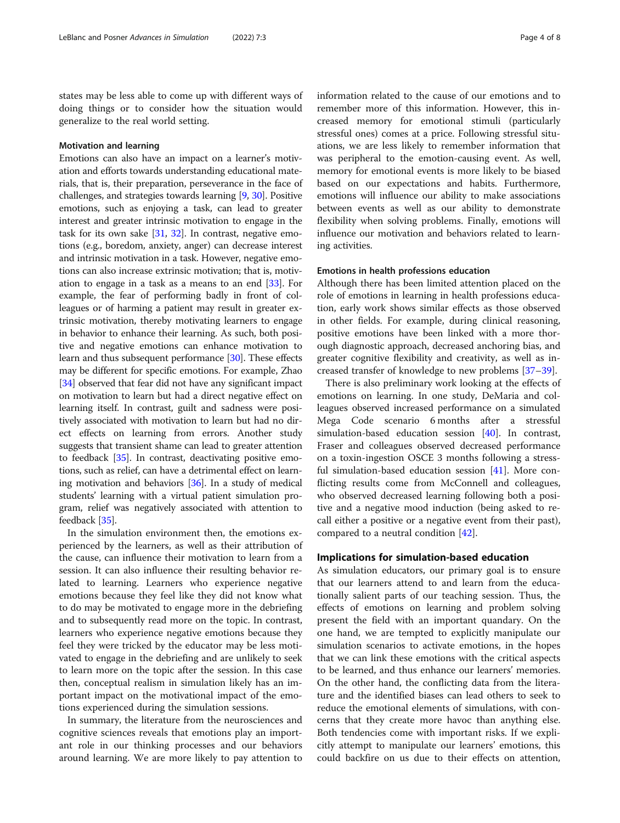states may be less able to come up with different ways of doing things or to consider how the situation would generalize to the real world setting.

#### Motivation and learning

Emotions can also have an impact on a learner's motivation and efforts towards understanding educational materials, that is, their preparation, perseverance in the face of challenges, and strategies towards learning [\[9](#page-6-0), [30\]](#page-7-0). Positive emotions, such as enjoying a task, can lead to greater interest and greater intrinsic motivation to engage in the task for its own sake [[31,](#page-7-0) [32\]](#page-7-0). In contrast, negative emotions (e.g., boredom, anxiety, anger) can decrease interest and intrinsic motivation in a task. However, negative emotions can also increase extrinsic motivation; that is, motivation to engage in a task as a means to an end [\[33\]](#page-7-0). For example, the fear of performing badly in front of colleagues or of harming a patient may result in greater extrinsic motivation, thereby motivating learners to engage in behavior to enhance their learning. As such, both positive and negative emotions can enhance motivation to learn and thus subsequent performance [\[30\]](#page-7-0). These effects may be different for specific emotions. For example, Zhao [[34](#page-7-0)] observed that fear did not have any significant impact on motivation to learn but had a direct negative effect on learning itself. In contrast, guilt and sadness were positively associated with motivation to learn but had no direct effects on learning from errors. Another study suggests that transient shame can lead to greater attention to feedback [[35](#page-7-0)]. In contrast, deactivating positive emotions, such as relief, can have a detrimental effect on learning motivation and behaviors [[36](#page-7-0)]. In a study of medical students' learning with a virtual patient simulation program, relief was negatively associated with attention to feedback [\[35](#page-7-0)].

In the simulation environment then, the emotions experienced by the learners, as well as their attribution of the cause, can influence their motivation to learn from a session. It can also influence their resulting behavior related to learning. Learners who experience negative emotions because they feel like they did not know what to do may be motivated to engage more in the debriefing and to subsequently read more on the topic. In contrast, learners who experience negative emotions because they feel they were tricked by the educator may be less motivated to engage in the debriefing and are unlikely to seek to learn more on the topic after the session. In this case then, conceptual realism in simulation likely has an important impact on the motivational impact of the emotions experienced during the simulation sessions.

In summary, the literature from the neurosciences and cognitive sciences reveals that emotions play an important role in our thinking processes and our behaviors around learning. We are more likely to pay attention to

information related to the cause of our emotions and to remember more of this information. However, this increased memory for emotional stimuli (particularly stressful ones) comes at a price. Following stressful situations, we are less likely to remember information that was peripheral to the emotion-causing event. As well, memory for emotional events is more likely to be biased based on our expectations and habits. Furthermore, emotions will influence our ability to make associations between events as well as our ability to demonstrate flexibility when solving problems. Finally, emotions will influence our motivation and behaviors related to learning activities.

#### Emotions in health professions education

Although there has been limited attention placed on the role of emotions in learning in health professions education, early work shows similar effects as those observed in other fields. For example, during clinical reasoning, positive emotions have been linked with a more thorough diagnostic approach, decreased anchoring bias, and greater cognitive flexibility and creativity, as well as increased transfer of knowledge to new problems [[37](#page-7-0)–[39](#page-7-0)].

There is also preliminary work looking at the effects of emotions on learning. In one study, DeMaria and colleagues observed increased performance on a simulated Mega Code scenario 6 months after a stressful simulation-based education session [\[40\]](#page-7-0). In contrast, Fraser and colleagues observed decreased performance on a toxin-ingestion OSCE 3 months following a stressful simulation-based education session [\[41\]](#page-7-0). More conflicting results come from McConnell and colleagues, who observed decreased learning following both a positive and a negative mood induction (being asked to recall either a positive or a negative event from their past), compared to a neutral condition [[42\]](#page-7-0).

#### Implications for simulation-based education

As simulation educators, our primary goal is to ensure that our learners attend to and learn from the educationally salient parts of our teaching session. Thus, the effects of emotions on learning and problem solving present the field with an important quandary. On the one hand, we are tempted to explicitly manipulate our simulation scenarios to activate emotions, in the hopes that we can link these emotions with the critical aspects to be learned, and thus enhance our learners' memories. On the other hand, the conflicting data from the literature and the identified biases can lead others to seek to reduce the emotional elements of simulations, with concerns that they create more havoc than anything else. Both tendencies come with important risks. If we explicitly attempt to manipulate our learners' emotions, this could backfire on us due to their effects on attention,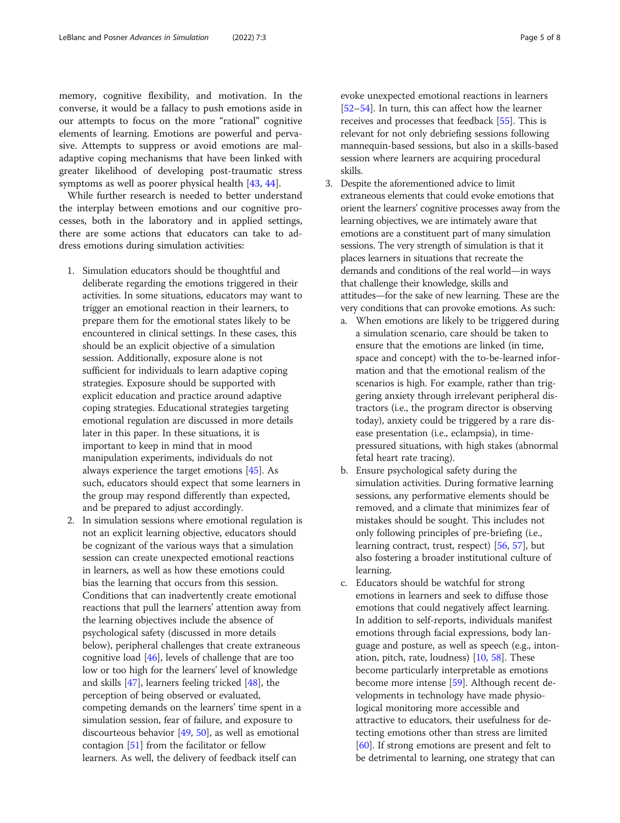memory, cognitive flexibility, and motivation. In the converse, it would be a fallacy to push emotions aside in our attempts to focus on the more "rational" cognitive elements of learning. Emotions are powerful and pervasive. Attempts to suppress or avoid emotions are maladaptive coping mechanisms that have been linked with greater likelihood of developing post-traumatic stress symptoms as well as poorer physical health [[43,](#page-7-0) [44\]](#page-7-0).

While further research is needed to better understand the interplay between emotions and our cognitive processes, both in the laboratory and in applied settings, there are some actions that educators can take to address emotions during simulation activities:

- 1. Simulation educators should be thoughtful and deliberate regarding the emotions triggered in their activities. In some situations, educators may want to trigger an emotional reaction in their learners, to prepare them for the emotional states likely to be encountered in clinical settings. In these cases, this should be an explicit objective of a simulation session. Additionally, exposure alone is not sufficient for individuals to learn adaptive coping strategies. Exposure should be supported with explicit education and practice around adaptive coping strategies. Educational strategies targeting emotional regulation are discussed in more details later in this paper. In these situations, it is important to keep in mind that in mood manipulation experiments, individuals do not always experience the target emotions [[45\]](#page-7-0). As such, educators should expect that some learners in the group may respond differently than expected, and be prepared to adjust accordingly.
- 2. In simulation sessions where emotional regulation is not an explicit learning objective, educators should be cognizant of the various ways that a simulation session can create unexpected emotional reactions in learners, as well as how these emotions could bias the learning that occurs from this session. Conditions that can inadvertently create emotional reactions that pull the learners' attention away from the learning objectives include the absence of psychological safety (discussed in more details below), peripheral challenges that create extraneous cognitive load [\[46](#page-7-0)], levels of challenge that are too low or too high for the learners' level of knowledge and skills  $[47]$  $[47]$  $[47]$ , learners feeling tricked  $[48]$ , the perception of being observed or evaluated, competing demands on the learners' time spent in a simulation session, fear of failure, and exposure to discourteous behavior [[49](#page-7-0), [50](#page-7-0)], as well as emotional contagion [[51\]](#page-7-0) from the facilitator or fellow learners. As well, the delivery of feedback itself can

evoke unexpected emotional reactions in learners [[52](#page-7-0)–[54\]](#page-7-0). In turn, this can affect how the learner receives and processes that feedback [\[55\]](#page-7-0). This is relevant for not only debriefing sessions following mannequin-based sessions, but also in a skills-based session where learners are acquiring procedural skills.

- 3. Despite the aforementioned advice to limit extraneous elements that could evoke emotions that orient the learners' cognitive processes away from the learning objectives, we are intimately aware that emotions are a constituent part of many simulation sessions. The very strength of simulation is that it places learners in situations that recreate the demands and conditions of the real world—in ways that challenge their knowledge, skills and attitudes—for the sake of new learning. These are the very conditions that can provoke emotions. As such:
	- a. When emotions are likely to be triggered during a simulation scenario, care should be taken to ensure that the emotions are linked (in time, space and concept) with the to-be-learned information and that the emotional realism of the scenarios is high. For example, rather than triggering anxiety through irrelevant peripheral distractors (i.e., the program director is observing today), anxiety could be triggered by a rare disease presentation (i.e., eclampsia), in timepressured situations, with high stakes (abnormal fetal heart rate tracing).
	- b. Ensure psychological safety during the simulation activities. During formative learning sessions, any performative elements should be removed, and a climate that minimizes fear of mistakes should be sought. This includes not only following principles of pre-briefing (i.e., learning contract, trust, respect) [[56](#page-7-0), [57](#page-7-0)], but also fostering a broader institutional culture of learning.
	- c. Educators should be watchful for strong emotions in learners and seek to diffuse those emotions that could negatively affect learning. In addition to self-reports, individuals manifest emotions through facial expressions, body language and posture, as well as speech (e.g., intonation, pitch, rate, loudness) [\[10,](#page-6-0) [58\]](#page-7-0). These become particularly interpretable as emotions become more intense [[59](#page-7-0)]. Although recent developments in technology have made physiological monitoring more accessible and attractive to educators, their usefulness for detecting emotions other than stress are limited [\[60\]](#page-7-0). If strong emotions are present and felt to be detrimental to learning, one strategy that can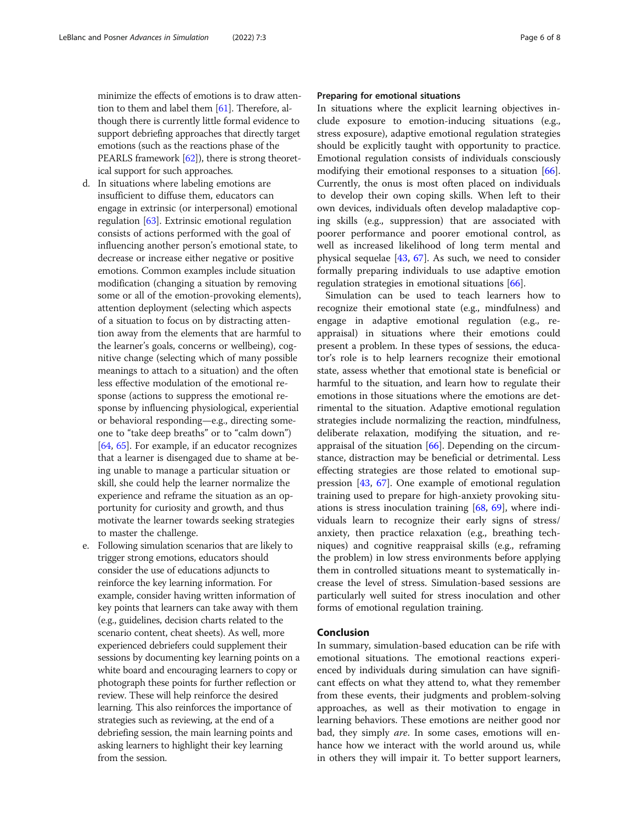minimize the effects of emotions is to draw attention to them and label them [\[61](#page-7-0)]. Therefore, although there is currently little formal evidence to support debriefing approaches that directly target emotions (such as the reactions phase of the PEARLS framework [\[62\]](#page-7-0)), there is strong theoretical support for such approaches.

- d. In situations where labeling emotions are insufficient to diffuse them, educators can engage in extrinsic (or interpersonal) emotional regulation [\[63](#page-7-0)]. Extrinsic emotional regulation consists of actions performed with the goal of influencing another person's emotional state, to decrease or increase either negative or positive emotions. Common examples include situation modification (changing a situation by removing some or all of the emotion-provoking elements), attention deployment (selecting which aspects of a situation to focus on by distracting attention away from the elements that are harmful to the learner's goals, concerns or wellbeing), cognitive change (selecting which of many possible meanings to attach to a situation) and the often less effective modulation of the emotional response (actions to suppress the emotional response by influencing physiological, experiential or behavioral responding—e.g., directing someone to "take deep breaths" or to "calm down") [\[64,](#page-7-0) [65](#page-7-0)]. For example, if an educator recognizes that a learner is disengaged due to shame at being unable to manage a particular situation or skill, she could help the learner normalize the experience and reframe the situation as an opportunity for curiosity and growth, and thus motivate the learner towards seeking strategies to master the challenge.
- e. Following simulation scenarios that are likely to trigger strong emotions, educators should consider the use of educations adjuncts to reinforce the key learning information. For example, consider having written information of key points that learners can take away with them (e.g., guidelines, decision charts related to the scenario content, cheat sheets). As well, more experienced debriefers could supplement their sessions by documenting key learning points on a white board and encouraging learners to copy or photograph these points for further reflection or review. These will help reinforce the desired learning. This also reinforces the importance of strategies such as reviewing, at the end of a debriefing session, the main learning points and asking learners to highlight their key learning from the session.

#### Preparing for emotional situations

In situations where the explicit learning objectives include exposure to emotion-inducing situations (e.g., stress exposure), adaptive emotional regulation strategies should be explicitly taught with opportunity to practice. Emotional regulation consists of individuals consciously modifying their emotional responses to a situation [\[66](#page-7-0)]. Currently, the onus is most often placed on individuals to develop their own coping skills. When left to their own devices, individuals often develop maladaptive coping skills (e.g., suppression) that are associated with poorer performance and poorer emotional control, as well as increased likelihood of long term mental and physical sequelae [[43,](#page-7-0) [67](#page-7-0)]. As such, we need to consider formally preparing individuals to use adaptive emotion regulation strategies in emotional situations [\[66\]](#page-7-0).

Simulation can be used to teach learners how to recognize their emotional state (e.g., mindfulness) and engage in adaptive emotional regulation (e.g., reappraisal) in situations where their emotions could present a problem. In these types of sessions, the educator's role is to help learners recognize their emotional state, assess whether that emotional state is beneficial or harmful to the situation, and learn how to regulate their emotions in those situations where the emotions are detrimental to the situation. Adaptive emotional regulation strategies include normalizing the reaction, mindfulness, deliberate relaxation, modifying the situation, and reappraisal of the situation [[66\]](#page-7-0). Depending on the circumstance, distraction may be beneficial or detrimental. Less effecting strategies are those related to emotional suppression [[43,](#page-7-0) [67\]](#page-7-0). One example of emotional regulation training used to prepare for high-anxiety provoking situations is stress inoculation training [[68,](#page-7-0) [69](#page-7-0)], where individuals learn to recognize their early signs of stress/ anxiety, then practice relaxation (e.g., breathing techniques) and cognitive reappraisal skills (e.g., reframing the problem) in low stress environments before applying them in controlled situations meant to systematically increase the level of stress. Simulation-based sessions are particularly well suited for stress inoculation and other forms of emotional regulation training.

#### Conclusion

In summary, simulation-based education can be rife with emotional situations. The emotional reactions experienced by individuals during simulation can have significant effects on what they attend to, what they remember from these events, their judgments and problem-solving approaches, as well as their motivation to engage in learning behaviors. These emotions are neither good nor bad, they simply are. In some cases, emotions will enhance how we interact with the world around us, while in others they will impair it. To better support learners,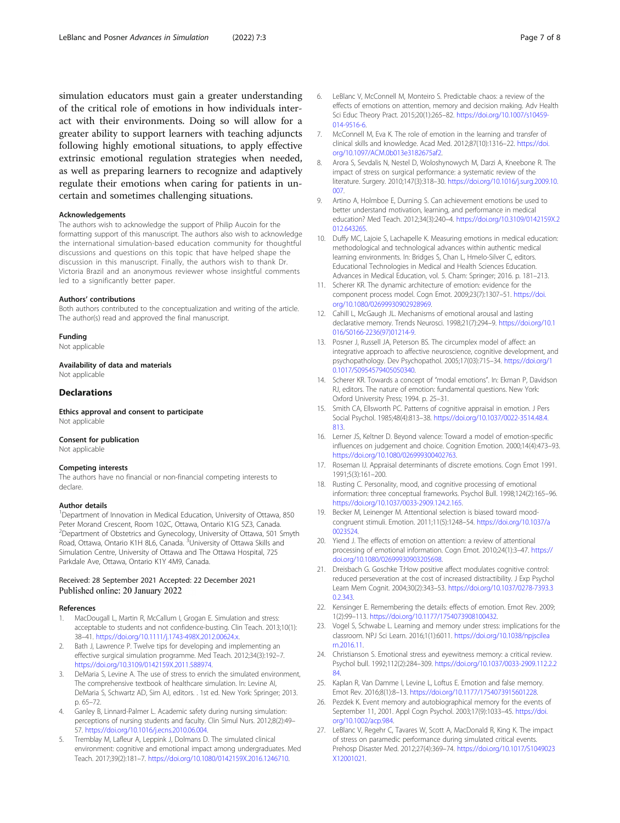<span id="page-6-0"></span>simulation educators must gain a greater understanding of the critical role of emotions in how individuals interact with their environments. Doing so will allow for a greater ability to support learners with teaching adjuncts following highly emotional situations, to apply effective extrinsic emotional regulation strategies when needed, as well as preparing learners to recognize and adaptively regulate their emotions when caring for patients in uncertain and sometimes challenging situations.

#### Acknowledgements

The authors wish to acknowledge the support of Philip Aucoin for the formatting support of this manuscript. The authors also wish to acknowledge the international simulation-based education community for thoughtful discussions and questions on this topic that have helped shape the discussion in this manuscript. Finally, the authors wish to thank Dr. Victoria Brazil and an anonymous reviewer whose insightful comments led to a significantly better paper.

#### Authors' contributions

Both authors contributed to the conceptualization and writing of the article. The author(s) read and approved the final manuscript.

#### Funding

Not applicable

Availability of data and materials Not applicable

#### **Declarations**

Ethics approval and consent to participate Not applicable

#### Consent for publication

Not applicable

#### Competing interests

The authors have no financial or non-financial competing interests to declare.

#### Author details

<sup>1</sup>Department of Innovation in Medical Education, University of Ottawa, 850 Peter Morand Crescent, Room 102C, Ottawa, Ontario K1G 5Z3, Canada. <sup>2</sup>Department of Obstetrics and Gynecology, University of Ottawa, 501 Smyth Road, Ottawa, Ontario K1H 8L6, Canada. <sup>3</sup>University of Ottawa Skills and Simulation Centre, University of Ottawa and The Ottawa Hospital, 725 Parkdale Ave, Ottawa, Ontario K1Y 4M9, Canada.

#### Received: 28 September 2021 Accepted: 22 December 2021 Published online: 20 January 2022

#### References

- 1. MacDougall L, Martin R, McCallum I, Grogan E. Simulation and stress: acceptable to students and not confidence-busting. Clin Teach. 2013;10(1): 38–41. <https://doi.org/10.1111/j.1743-498X.2012.00624.x>.
- Bath J, Lawrence P. Twelve tips for developing and implementing an effective surgical simulation programme. Med Teach. 2012;34(3):192–7. <https://doi.org/10.3109/0142159X.2011.588974>.
- DeMaria S, Levine A. The use of stress to enrich the simulated environment, The comprehensive textbook of healthcare simulation. In: Levine AI, DeMaria S, Schwartz AD, Sim AJ, editors. . 1st ed. New York: Springer; 2013. p. 65–72.
- 4. Ganley B, Linnard-Palmer L. Academic safety during nursing simulation: perceptions of nursing students and faculty. Clin Simul Nurs. 2012;8(2):49– 57. [https://doi.org/10.1016/j.ecns.2010.06.004.](https://doi.org/10.1016/j.ecns.2010.06.004)
- Tremblay M, Lafleur A, Leppink J, Dolmans D. The simulated clinical environment: cognitive and emotional impact among undergraduates. Med Teach. 2017;39(2):181–7. <https://doi.org/10.1080/0142159X.2016.1246710>.
- 6. LeBlanc V, McConnell M, Monteiro S. Predictable chaos: a review of the effects of emotions on attention, memory and decision making. Adv Health Sci Educ Theory Pract. 2015;20(1):265–82. [https://doi.org/10.1007/s10459-](https://doi.org/10.1007/s10459-014-9516-6) [014-9516-6](https://doi.org/10.1007/s10459-014-9516-6).
- 7. McConnell M, Eva K. The role of emotion in the learning and transfer of clinical skills and knowledge. Acad Med. 2012;87(10):1316–22. [https://doi.](https://doi.org/10.1097/ACM.0b013e3182675af2) [org/10.1097/ACM.0b013e3182675af2](https://doi.org/10.1097/ACM.0b013e3182675af2).
- 8. Arora S, Sevdalis N, Nestel D, Woloshynowych M, Darzi A, Kneebone R. The impact of stress on surgical performance: a systematic review of the literature. Surgery. 2010;147(3):318–30. [https://doi.org/10.1016/j.surg.2009.10.](https://doi.org/10.1016/j.surg.2009.10.007) [007.](https://doi.org/10.1016/j.surg.2009.10.007)
- 9. Artino A, Holmboe E, Durning S. Can achievement emotions be used to better understand motivation, learning, and performance in medical education? Med Teach. 2012;34(3):240–4. [https://doi.org/10.3109/0142159X.2](https://doi.org/10.3109/0142159X.2012.643265) [012.643265.](https://doi.org/10.3109/0142159X.2012.643265)
- 10. Duffy MC, Lajoie S, Lachapelle K. Measuring emotions in medical education: methodological and technological advances within authentic medical learning environments. In: Bridges S, Chan L, Hmelo-Silver C, editors. Educational Technologies in Medical and Health Sciences Education. Advances in Medical Education, vol. 5. Cham: Springer; 2016. p. 181–213.
- 11. Scherer KR. The dynamic architecture of emotion: evidence for the component process model. Cogn Emot. 2009;23(7):1307–51. [https://doi.](https://doi.org/10.1080/02699930902928969) [org/10.1080/02699930902928969](https://doi.org/10.1080/02699930902928969).
- 12. Cahill L, McGaugh JL. Mechanisms of emotional arousal and lasting declarative memory. Trends Neurosci. 1998;21(7):294–9. [https://doi.org/10.1](https://doi.org/10.1016/S0166-2236(97)01214-9) [016/S0166-2236\(97\)01214-9](https://doi.org/10.1016/S0166-2236(97)01214-9).
- 13. Posner J, Russell JA, Peterson BS. The circumplex model of affect: an integrative approach to affective neuroscience, cognitive development, and psychopathology. Dev Psychopathol. 2005;17(03):715–34. [https://doi.org/1](https://doi.org/10.1017/S0954579405050340) [0.1017/S0954579405050340](https://doi.org/10.1017/S0954579405050340).
- 14. Scherer KR. Towards a concept of "modal emotions". In: Ekman P, Davidson RJ, editors. The nature of emotion: fundamental questions. New York: Oxford University Press; 1994. p. 25–31.
- 15. Smith CA, Ellsworth PC. Patterns of cognitive appraisal in emotion. J Pers Social Psychol. 1985;48(4):813–38. [https://doi.org/10.1037/0022-3514.48.4.](https://doi.org/10.1037/0022-3514.48.4.813) [813.](https://doi.org/10.1037/0022-3514.48.4.813)
- 16. Lerner JS, Keltner D. Beyond valence: Toward a model of emotion-specific influences on judgement and choice. Cognition Emotion. 2000;14(4):473–93. <https://doi.org/10.1080/026999300402763>.
- 17. Roseman IJ. Appraisal determinants of discrete emotions. Cogn Emot 1991. 1991;5(3):161–200.
- 18. Rusting C. Personality, mood, and cognitive processing of emotional information: three conceptual frameworks. Psychol Bull. 1998;124(2):165–96. [https://doi.org/10.1037/0033-2909.124.2.165.](https://doi.org/10.1037/0033-2909.124.2.165)
- 19. Becker M, Leinenger M. Attentional selection is biased toward moodcongruent stimuli. Emotion. 2011;11(5):1248–54. [https://doi.org/10.1037/a](https://doi.org/10.1037/a0023524) [0023524.](https://doi.org/10.1037/a0023524)
- 20. Yiend J. The effects of emotion on attention: a review of attentional processing of emotional information. Cogn Emot. 2010;24(1):3–47. [https://](https://doi.org/10.1080/02699930903205698) [doi.org/10.1080/02699930903205698](https://doi.org/10.1080/02699930903205698).
- 21. Dreisbach G. Goschke T:How positive affect modulates cognitive control: reduced perseveration at the cost of increased distractibility. J Exp Psychol Learn Mem Cognit. 2004;30(2):343–53. [https://doi.org/10.1037/0278-7393.3](https://doi.org/10.1037/0278-7393.30.2.343) [0.2.343](https://doi.org/10.1037/0278-7393.30.2.343).
- 22. Kensinger E. Remembering the details: effects of emotion. Emot Rev. 2009; 1(2):99–113. <https://doi.org/10.1177/1754073908100432>.
- 23. Vogel S, Schwabe L. Learning and memory under stress: implications for the classroom. NPJ Sci Learn. 2016;1(1):6011. [https://doi.org/10.1038/npjscilea](https://doi.org/10.1038/npjscilearn.2016.11) [rn.2016.11](https://doi.org/10.1038/npjscilearn.2016.11).
- 24. Christianson S. Emotional stress and eyewitness memory: a critical review. Psychol bull. 1992;112(2):284–309. [https://doi.org/10.1037/0033-2909.112.2.2](https://doi.org/10.1037/0033-2909.112.2.284) [84.](https://doi.org/10.1037/0033-2909.112.2.284)
- 25. Kaplan R, Van Damme I, Levine L, Loftus E. Emotion and false memory. Emot Rev. 2016;8(1):8–13. [https://doi.org/10.1177/1754073915601228.](https://doi.org/10.1177/1754073915601228)
- 26. Pezdek K. Event memory and autobiographical memory for the events of September 11, 2001. Appl Cogn Psychol. 2003;17(9):1033–45. [https://doi.](https://doi.org/10.1002/acp.984) [org/10.1002/acp.984.](https://doi.org/10.1002/acp.984)
- 27. LeBlanc V, Regehr C, Tavares W, Scott A, MacDonald R, King K. The impact of stress on paramedic performance during simulated critical events. Prehosp Disaster Med. 2012;27(4):369–74. [https://doi.org/10.1017/S1049023](https://doi.org/10.1017/S1049023X12001021) [X12001021.](https://doi.org/10.1017/S1049023X12001021)